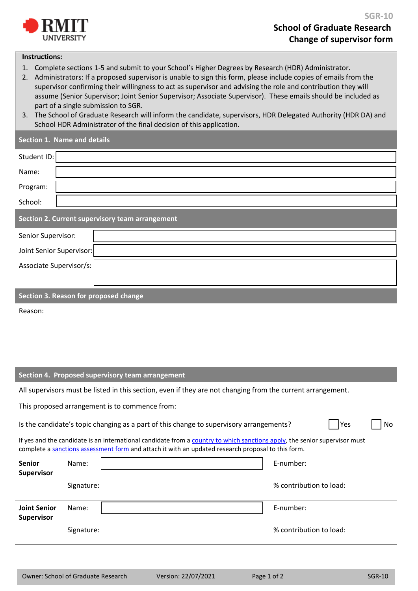

## **Instructions:**

- 1. Complete sections 1-5 and submit to your School's Higher Degrees by Research (HDR) Administrator.
- 2. Administrators: If a proposed supervisor is unable to sign this form, please include copies of emails from the supervisor confirming their willingness to act as supervisor and advising the role and contribution they will assume (Senior Supervisor; Joint Senior Supervisor; Associate Supervisor). These emails should be included as part of a single submission to SGR.
- 3. The School of Graduate Research will inform the candidate, supervisors, HDR Delegated Authority (HDR DA) and School HDR Administrator of the final decision of this application.

| Section 1. Name and details                     |  |  |  |  |  |  |  |  |
|-------------------------------------------------|--|--|--|--|--|--|--|--|
| Student ID:                                     |  |  |  |  |  |  |  |  |
| Name:                                           |  |  |  |  |  |  |  |  |
| Program:                                        |  |  |  |  |  |  |  |  |
| School:                                         |  |  |  |  |  |  |  |  |
| Section 2. Current supervisory team arrangement |  |  |  |  |  |  |  |  |
| Senior Supervisor:                              |  |  |  |  |  |  |  |  |
|                                                 |  |  |  |  |  |  |  |  |
| Joint Senior Supervisor:                        |  |  |  |  |  |  |  |  |
| Associate Supervisor/s:                         |  |  |  |  |  |  |  |  |
|                                                 |  |  |  |  |  |  |  |  |

Reason:

## **Section 4. Proposed supervisory team arrangement**

All supervisors must be listed in this section, even if they are not changing from the current arrangement.

This proposed arrangement is to commence from:

Is the candidate's topic changing as a part of this change to supervisory arrangements?  $\Box$  Yes  $\Box$  No

If yes and the candidate is an international candidate from [a country to which sanctions apply,](http://dfat.gov.au/international-relations/security/sanctions/sanctions-regimes/pages/sanctions-regimes.aspx) the senior supervisor must complete [a sanctions assessment form](https://www.rmit.edu.au/staff/our-rmit/policies/academic/hdr-sanctions-assessment) and attach it with an updated research proposal to this form.

| <b>Senior</b><br>Supervisor       | Name:      | E-number:               |  |  |
|-----------------------------------|------------|-------------------------|--|--|
|                                   | Signature: | % contribution to load: |  |  |
| <b>Joint Senior</b><br>Supervisor | Name:      | E-number:               |  |  |
|                                   | Signature: | % contribution to load: |  |  |
|                                   |            |                         |  |  |